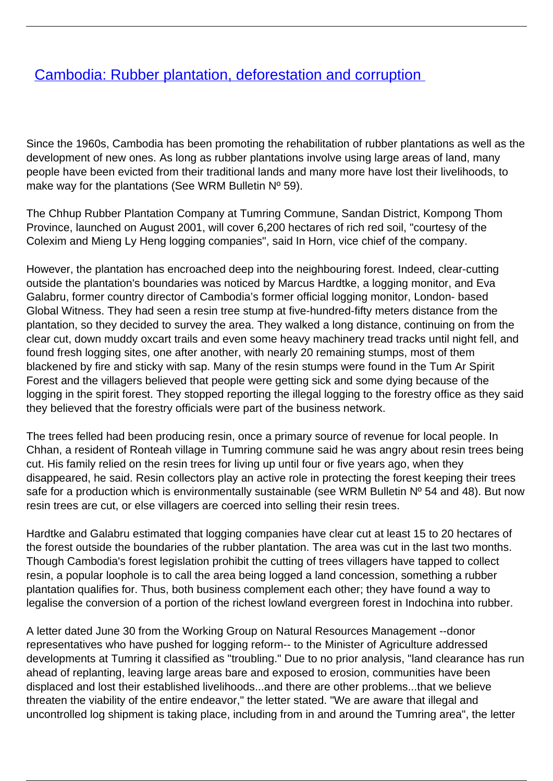## **[Cambodia: Rubber plantation, deforestation and corruption](/bulletin-articles/cambodia-rubber-plantation-deforestation-and-corruption)**

Since the 1960s, Cambodia has been promoting the rehabilitation of rubber plantations as well as the development of new ones. As long as rubber plantations involve using large areas of land, many people have been evicted from their traditional lands and many more have lost their livelihoods, to make way for the plantations (See WRM Bulletin Nº 59).

The Chhup Rubber Plantation Company at Tumring Commune, Sandan District, Kompong Thom Province, launched on August 2001, will cover 6,200 hectares of rich red soil, "courtesy of the Colexim and Mieng Ly Heng logging companies", said In Horn, vice chief of the company.

However, the plantation has encroached deep into the neighbouring forest. Indeed, clear-cutting outside the plantation's boundaries was noticed by Marcus Hardtke, a logging monitor, and Eva Galabru, former country director of Cambodia's former official logging monitor, London- based Global Witness. They had seen a resin tree stump at five-hundred-fifty meters distance from the plantation, so they decided to survey the area. They walked a long distance, continuing on from the clear cut, down muddy oxcart trails and even some heavy machinery tread tracks until night fell, and found fresh logging sites, one after another, with nearly 20 remaining stumps, most of them blackened by fire and sticky with sap. Many of the resin stumps were found in the Tum Ar Spirit Forest and the villagers believed that people were getting sick and some dying because of the logging in the spirit forest. They stopped reporting the illegal logging to the forestry office as they said they believed that the forestry officials were part of the business network.

The trees felled had been producing resin, once a primary source of revenue for local people. In Chhan, a resident of Ronteah village in Tumring commune said he was angry about resin trees being cut. His family relied on the resin trees for living up until four or five years ago, when they disappeared, he said. Resin collectors play an active role in protecting the forest keeping their trees safe for a production which is environmentally sustainable (see WRM Bulletin Nº 54 and 48). But now resin trees are cut, or else villagers are coerced into selling their resin trees.

Hardtke and Galabru estimated that logging companies have clear cut at least 15 to 20 hectares of the forest outside the boundaries of the rubber plantation. The area was cut in the last two months. Though Cambodia's forest legislation prohibit the cutting of trees villagers have tapped to collect resin, a popular loophole is to call the area being logged a land concession, something a rubber plantation qualifies for. Thus, both business complement each other; they have found a way to legalise the conversion of a portion of the richest lowland evergreen forest in Indochina into rubber.

A letter dated June 30 from the Working Group on Natural Resources Management --donor representatives who have pushed for logging reform-- to the Minister of Agriculture addressed developments at Tumring it classified as "troubling." Due to no prior analysis, "land clearance has run ahead of replanting, leaving large areas bare and exposed to erosion, communities have been displaced and lost their established livelihoods...and there are other problems...that we believe threaten the viability of the entire endeavor," the letter stated. "We are aware that illegal and uncontrolled log shipment is taking place, including from in and around the Tumring area", the letter